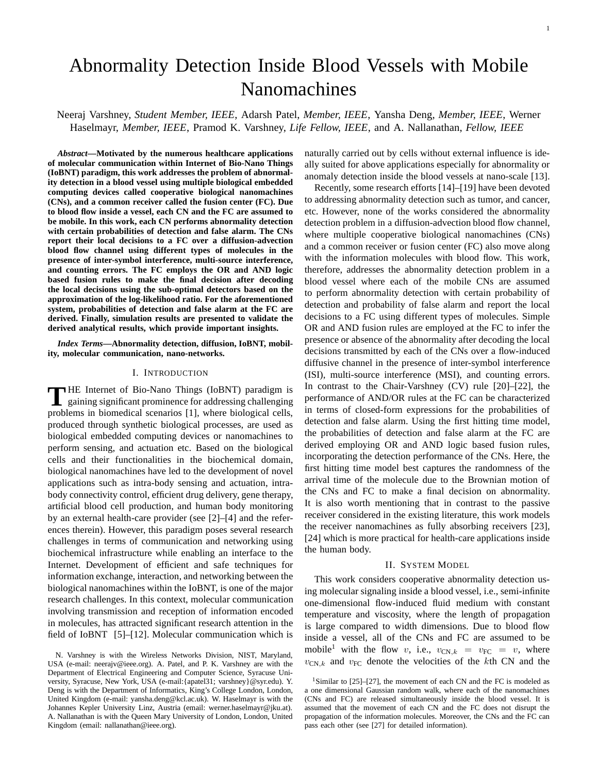# Abnormality Detection Inside Blood Vessels with Mobile Nanomachines

Neeraj Varshney, *Student Member, IEEE*, Adarsh Patel, *Member, IEEE*, Yansha Deng, *Member, IEEE*, Werner Haselmayr, *Member, IEEE*, Pramod K. Varshney, *Life Fellow, IEEE*, and A. Nallanathan, *Fellow, IEEE*

*Abstract***—Motivated by the numerous healthcare applications of molecular communication within Internet of Bio-Nano Things (IoBNT) paradigm, this work addresses the problem of abnormality detection in a blood vessel using multiple biological embedded computing devices called cooperative biological nanomachines (CNs), and a common receiver called the fusion center (FC). Due to blood flow inside a vessel, each CN and the FC are assumed to be mobile. In this work, each CN performs abnormality detection with certain probabilities of detection and false alarm. The CNs report their local decisions to a FC over a diffusion-advection blood flow channel using different types of molecules in the presence of inter-symbol interference, multi-source interference, and counting errors. The FC employs the OR and AND logic based fusion rules to make the final decision after decoding the local decisions using the sub-optimal detectors based on the approximation of the log-likelihood ratio. For the aforementioned system, probabilities of detection and false alarm at the FC are derived. Finally, simulation results are presented to validate the derived analytical results, which provide important insights.**

*Index Terms***—Abnormality detection, diffusion, IoBNT, mobility, molecular communication, nano-networks.**

#### I. INTRODUCTION

**THE Internet of Bio-Nano Things (IoBNT) paradigm is gaining significant prominence for addressing challenging problems in biomedical scenarios [1], where biological cells,** HE Internet of Bio-Nano Things (IoBNT) paradigm is gaining significant prominence for addressing challenging produced through synthetic biological processes, are used as biological embedded computing devices or nanomachines to perform sensing, and actuation etc. Based on the biological cells and their functionalities in the biochemical domain, biological nanomachines have led to the development of novel applications such as intra-body sensing and actuation, intrabody connectivity control, efficient drug delivery, gene therapy, artificial blood cell production, and human body monitoring by an external health-care provider (see [2]–[4] and the references therein). However, this paradigm poses several research challenges in terms of communication and networking using biochemical infrastructure while enabling an interface to the Internet. Development of efficient and safe techniques for information exchange, interaction, and networking between the biological nanomachines within the IoBNT, is one of the major research challenges. In this context, molecular communication involving transmission and reception of information encoded in molecules, has attracted significant research attention in the field of IoBNT [5]–[12]. Molecular communication which is

naturally carried out by cells without external influence is ideally suited for above applications especially for abnormality or anomaly detection inside the blood vessels at nano-scale [13].

Recently, some research efforts [14]–[19] have been devoted to addressing abnormality detection such as tumor, and cancer, etc. However, none of the works considered the abnormality detection problem in a diffusion-advection blood flow channel, where multiple cooperative biological nanomachines (CNs) and a common receiver or fusion center (FC) also move along with the information molecules with blood flow. This work, therefore, addresses the abnormality detection problem in a blood vessel where each of the mobile CNs are assumed to perform abnormality detection with certain probability of detection and probability of false alarm and report the local decisions to a FC using different types of molecules. Simple OR and AND fusion rules are employed at the FC to infer the presence or absence of the abnormality after decoding the local decisions transmitted by each of the CNs over a flow-induced diffusive channel in the presence of inter-symbol interference (ISI), multi-source interference (MSI), and counting errors. In contrast to the Chair-Varshney (CV) rule [20]–[22], the performance of AND/OR rules at the FC can be characterized in terms of closed-form expressions for the probabilities of detection and false alarm. Using the first hitting time model, the probabilities of detection and false alarm at the FC are derived employing OR and AND logic based fusion rules, incorporating the detection performance of the CNs. Here, the first hitting time model best captures the randomness of the arrival time of the molecule due to the Brownian motion of the CNs and FC to make a final decision on abnormality. It is also worth mentioning that in contrast to the passive receiver considered in the existing literature, this work models the receiver nanomachines as fully absorbing receivers [23], [24] which is more practical for health-care applications inside the human body.

## II. SYSTEM MODEL

This work considers cooperative abnormality detection using molecular signaling inside a blood vessel, i.e., semi-infinite one-dimensional flow-induced fluid medium with constant temperature and viscosity, where the length of propagation is large compared to width dimensions. Due to blood flow inside a vessel, all of the CNs and FC are assumed to be mobile<sup>1</sup> with the flow v, i.e.,  $v_{CN,k} = v_{FC} = v$ , where  $v_{\text{CN},k}$  and  $v_{\text{FC}}$  denote the velocities of the kth CN and the

N. Varshney is with the Wireless Networks Division, NIST, Maryland, USA (e-mail: neerajv@ieee.org). A. Patel, and P. K. Varshney are with the Department of Electrical Engineering and Computer Science, Syracuse University, Syracuse, New York, USA (e-mail:{apatel31; varshney}@syr.edu). Y. Deng is with the Department of Informatics, King's College London, London, United Kingdom (e-mail: yansha.deng@kcl.ac.uk). W. Haselmayr is with the Johannes Kepler University Linz, Austria (email: werner.haselmayr@jku.at). A. Nallanathan is with the Queen Mary University of London, London, United Kingdom (email: nallanathan@ieee.org).

<sup>&</sup>lt;sup>1</sup>Similar to  $[25]$ – $[27]$ , the movement of each CN and the FC is modeled as a one dimensional Gaussian random walk, where each of the nanomachines (CNs and FC) are released simultaneously inside the blood vessel. It is assumed that the movement of each CN and the FC does not disrupt the propagation of the information molecules. Moreover, the CNs and the FC can pass each other (see [27] for detailed information).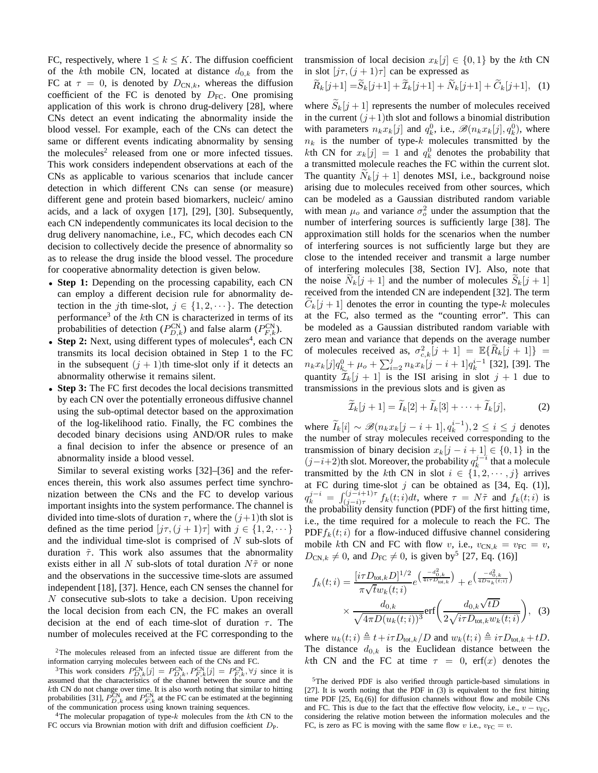FC, respectively, where  $1 \leq k \leq K$ . The diffusion coefficient of the kth mobile CN, located at distance  $d_{0,k}$  from the FC at  $\tau = 0$ , is denoted by  $D_{CN,k}$ , whereas the diffusion coefficient of the FC is denoted by  $D_{FC}$ . One promising application of this work is chrono drug-delivery [28], where CNs detect an event indicating the abnormality inside the blood vessel. For example, each of the CNs can detect the same or different events indicating abnormality by sensing the molecules<sup>2</sup> released from one or more infected tissues. This work considers independent observations at each of the CNs as applicable to various scenarios that include cancer detection in which different CNs can sense (or measure) different gene and protein based biomarkers, nucleic/ amino acids, and a lack of oxygen [17], [29], [30]. Subsequently, each CN independently communicates its local decision to the drug delivery nanomachine, i.e., FC, which decodes each CN decision to collectively decide the presence of abnormality so as to release the drug inside the blood vessel. The procedure for cooperative abnormality detection is given below.

- **Step 1:** Depending on the processing capability, each CN can employ a different decision rule for abnormality detection in the jth time-slot,  $j \in \{1, 2, \dots\}$ . The detection performance<sup>3</sup> of the  $k$ th CN is characterized in terms of its probabilities of detection  $(P_{D,k}^{CN})$  and false alarm  $(P_{F,k}^{CN})$ .
- Step 2: Next, using different types of molecules<sup>4</sup>, each CN transmits its local decision obtained in Step 1 to the FC in the subsequent  $(j + 1)$ th time-slot only if it detects an abnormality otherwise it remains silent.
- **Step 3:** The FC first decodes the local decisions transmitted by each CN over the potentially erroneous diffusive channel using the sub-optimal detector based on the approximation of the log-likelihood ratio. Finally, the FC combines the decoded binary decisions using AND/OR rules to make a final decision to infer the absence or presence of an abnormality inside a blood vessel.

Similar to several existing works [32]–[36] and the references therein, this work also assumes perfect time synchronization between the CNs and the FC to develop various important insights into the system performance. The channel is divided into time-slots of duration  $\tau$ , where the  $(j+1)$ th slot is defined as the time period  $[j\tau, (j + 1)\tau]$  with  $j \in \{1, 2, \dots\}$ and the individual time-slot is comprised of  $N$  sub-slots of duration  $\tilde{\tau}$ . This work also assumes that the abnormality exists either in all N sub-slots of total duration  $N\tilde{\tau}$  or none and the observations in the successive time-slots are assumed independent [18], [37]. Hence, each CN senses the channel for N consecutive sub-slots to take a decision. Upon receiving the local decision from each CN, the FC makes an overall decision at the end of each time-slot of duration  $\tau$ . The number of molecules received at the FC corresponding to the transmission of local decision  $x_k[j] \in \{0,1\}$  by the kth CN in slot  $[j\tau, (j+1)\tau]$  can be expressed as

$$
\widetilde{R}_k[j+1] = \widetilde{S}_k[j+1] + \widetilde{\mathcal{I}}_k[j+1] + \widetilde{N}_k[j+1] + \widetilde{C}_k[j+1], \quad (1)
$$

where  $S_k[j+1]$  represents the number of molecules received in the current  $(j+1)$ th slot and follows a binomial distribution with parameters  $n_k x_k[j]$  and  $q_k^0$ , i.e.,  $\mathcal{B}(n_k x_k[j], q_k^0)$ , where  $n_k$  is the number of type-k molecules transmitted by the kth CN for  $x_k[j] = 1$  and  $q_k^0$  denotes the probability that a transmitted molecule reaches the FC within the current slot. The quantity  $N_k[j + 1]$  denotes MSI, i.e., background noise arising due to molecules received from other sources, which can be modeled as a Gaussian distributed random variable with mean  $\mu_o$  and variance  $\sigma_o^2$  under the assumption that the number of interfering sources is sufficiently large [38]. The approximation still holds for the scenarios when the number of interfering sources is not sufficiently large but they are close to the intended receiver and transmit a large number of interfering molecules [38, Section IV]. Also, note that the noise  $N_k[j+1]$  and the number of molecules  $S_k[i+1]$ received from the intended CN are independent [32]. The term  $C_k[j+1]$  denotes the error in counting the type-k molecules at the FC, also termed as the "counting error". This can be modeled as a Gaussian distributed random variable with zero mean and variance that depends on the average number of molecules received as,  $\sigma_{c,k}^2[j+1] = \mathbb{E}\{\widetilde{R}_k[j+1]\}$  =  $n_k x_k[j] q_k^0 + \mu_o + \sum_{i=2}^j n_k x_k[j-i+1] q_k^{i-1}$  [32], [39]. The quantity  $\mathcal{I}_k[j+1]$  is the ISI arising in slot  $j+1$  due to transmissions in the previous slots and is given as

$$
\widetilde{\mathcal{I}}_k[j+1] = \widetilde{I}_k[2] + \widetilde{I}_k[3] + \cdots + \widetilde{I}_k[j],\tag{2}
$$

where  $\widetilde{I}_k[i] \sim \mathcal{B}(n_k x_k[j-i+1], q_k^{i-1}), 2 \leq i \leq j$  denotes the number of stray molecules received corresponding to the transmission of binary decision  $x_k[j - i + 1] \in \{0, 1\}$  in the  $(j-i+2)$ th slot. Moreover, the probability  $q_k^{j-i}$  that a molecule transmitted by the kth CN in slot  $i \in \{1, 2, \dots, j\}$  arrives at FC during time-slot  $j$  can be obtained as [34, Eq. (1)],  $q_k^{j-i} = \int_{(j-i)\tau}^{(j-i+1)\tau} f_k(t;i)dt$ , where  $\tau = N\tilde{\tau}$  and  $f_k(t;i)$  is the probability density function (PDF) of the first hitting time, i.e., the time required for a molecule to reach the FC. The PDF $f_k(t;i)$  for a flow-induced diffusive channel considering mobile kth CN and FC with flow v, i.e.,  $v_{CN,k} = v_{FC} = v$ ,  $D_{CN,k} \neq 0$ , and  $D_{FC} \neq 0$ , is given by<sup>5</sup> [27, Eq. (16)]

$$
f_k(t; i) = \frac{[i\tau D_{\text{tot},k}D]^{1/2}}{\pi\sqrt{t}w_k(t; i)} e^{\left(\frac{-d_{0,k}^2}{4i\tau D_{\text{tot},k}}\right)} + e^{\left(\frac{-d_{0,k}^2}{4D u_k(t; i)}\right)} \times \frac{d_{0,k}}{\sqrt{4\pi D(u_k(t; i))^3}} \text{erf}\left(\frac{d_{0,k}\sqrt{tD}}{2\sqrt{t\tau D_{\text{tot},k}w_k(t; i)}}\right), \quad (3)
$$

where  $u_k(t; i) \triangleq t + i\tau D_{\text{tot},k}/D$  and  $w_k(t; i) \triangleq i\tau D_{\text{tot},k} + tD$ . The distance  $d_{0,k}$  is the Euclidean distance between the kth CN and the FC at time  $\tau = 0$ , erf(x) denotes the

 $2$ The molecules released from an infected tissue are different from the information carrying molecules between each of the CNs and FC.

<sup>&</sup>lt;sup>3</sup>This work considers  $P_{D,k}^{\text{CN}}[j] = P_{D,k}^{\text{CN}}, P_{F,k}^{\text{CN}}[j] = P_{F,k}^{\text{CN}}, \forall j$  since it is assumed that the characteristics of the channel between the source and the kth CN do not change over time. It is also worth noting that similar to hitting probabilities [31],  $\overline{P}_{D,k}^{\text{CN}}$  and  $P_{F,k}^{\text{CN}}$  at the FC can be estimated at the beginning of the communication process using known training sequences.

<sup>&</sup>lt;sup>4</sup>The molecular propagation of type- $k$  molecules from the  $k$ th CN to the FC occurs via Brownian motion with drift and diffusion coefficient DP.

<sup>5</sup>The derived PDF is also verified through particle-based simulations in [27]. It is worth noting that the PDF in (3) is equivalent to the first hitting time PDF [25, Eq.(6)] for diffusion channels without flow and mobile CNs and FC. This is due to the fact that the effective flow velocity, i.e.,  $v - v_{\text{FC}}$ , considering the relative motion between the information molecules and the FC, is zero as FC is moving with the same flow v i.e.,  $v_{FC} = v$ .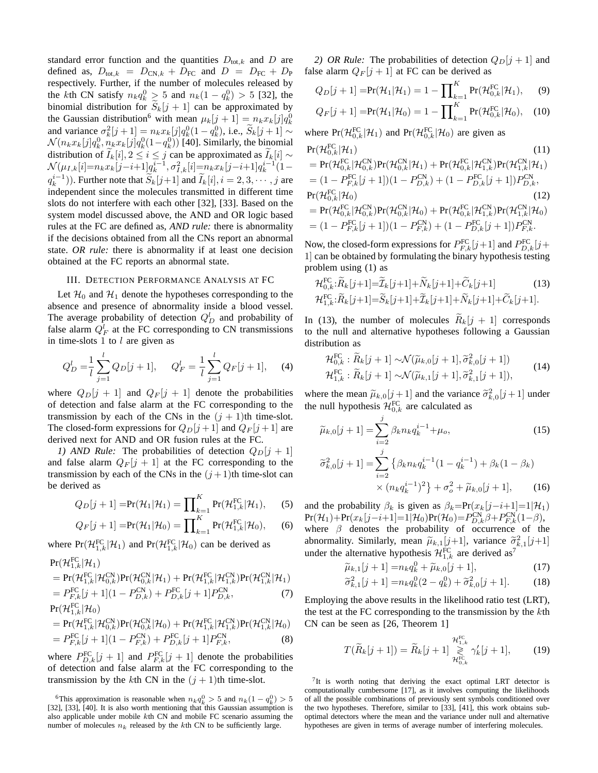standard error function and the quantities  $D_{\text{tot},k}$  and D are defined as,  $D_{\text{tot},k} = D_{\text{CN},k} + D_{\text{FC}}$  and  $D = D_{\text{FC}} + D_{\text{P}}$ respectively. Further, if the number of molecules released by the kth CN satisfy  $n_k q_k^0 \ge 5$  and  $n_k(1 - q_k^0) > 5$  [32], the binomial distribution for  $\widetilde{S}_k[j+1]$  can be approximated by the Gaussian distribution<sup>6</sup> with mean  $\mu_k[j+1] = n_k x_k[j] q_k^0$ and variance  $\sigma_k^2[j+1] = n_k x_k[j]q_k^0(1-q_k^0)$ , i.e.,  $S_k[j+1] \sim$  $\mathcal{N}(n_k x_k[j] q_k^0, n_k x_k[j] q_k^0(1-q_k^0))$  [40]. Similarly, the binomial distribution of  $\overline{I}_k[i], 2 \leq i \leq j$  can be approximated as  $\overline{I}_k[i] \sim$  $\mathcal{N}(\mu_{I,k}[i] = n_k x_k[j-i+1]q_k^{i-1}, \sigma_{I,k}^2[i] = n_k x_k[j-i+1]q_k^{i-1}(1$  $q_k^{i-1}$ )). Further note that  $\widetilde{S}_k[j+1]$  and  $\widetilde{I}_k[i], i = 2, 3, \cdots, j$  are independent since the molecules transmitted in different time slots do not interfere with each other [32], [33]. Based on the system model discussed above, the AND and OR logic based rules at the FC are defined as, *AND rule:* there is abnormality if the decisions obtained from all the CNs report an abnormal state. *OR rule:* there is abnormality if at least one decision obtained at the FC reports an abnormal state.

#### III. DETECTION PERFORMANCE ANALYSIS AT FC

Let  $\mathcal{H}_0$  and  $\mathcal{H}_1$  denote the hypotheses corresponding to the absence and presence of abnormality inside a blood vessel. The average probability of detection  $Q_D^l$  and probability of false alarm  $Q_F^l$  at the FC corresponding to CN transmissions in time-slots 1 to  $l$  are given as

$$
Q_D^l = \frac{1}{l} \sum_{j=1}^l Q_D[j+1], \quad Q_F^l = \frac{1}{l} \sum_{j=1}^l Q_F[j+1], \quad (4)
$$

where  $Q_D[i + 1]$  and  $Q_F[i + 1]$  denote the probabilities of detection and false alarm at the FC corresponding to the transmission by each of the CNs in the  $(j + 1)$ th time-slot. The closed-form expressions for  $Q_D[j+1]$  and  $Q_F[j+1]$  are derived next for AND and OR fusion rules at the FC.

*1)* AND Rule: The probabilities of detection  $Q_D[j + 1]$ and false alarm  $Q_F[j + 1]$  at the FC corresponding to the transmission by each of the CNs in the  $(j+1)$ th time-slot can be derived as

$$
Q_D[j+1] = \Pr(\mathcal{H}_1|\mathcal{H}_1) = \prod_{k=1}^K \Pr(\mathcal{H}_{1,k}^{\text{FC}}|\mathcal{H}_1), \quad (5)
$$

$$
Q_F[j+1] = Pr(\mathcal{H}_1|\mathcal{H}_0) = \prod_{k=1}^K Pr(\mathcal{H}_{1,k}^{FC}|\mathcal{H}_0),
$$
 (6)

where  $Pr(\mathcal{H}_{1,k}^{FC}|\mathcal{H}_1)$  and  $Pr(\mathcal{H}_{1,k}^{FC}|\mathcal{H}_0)$  can be derived as

$$
Pr(\mathcal{H}_{1,k}^{FC}|\mathcal{H}_1) = Pr(\mathcal{H}_{1,k}^{FC}|\mathcal{H}_{0,k}^{CN})Pr(\mathcal{H}_{0,k}^{CN}|\mathcal{H}_1) + Pr(\mathcal{H}_{1,k}^{FC}|\mathcal{H}_{1,k}^{CN})Pr(\mathcal{H}_{1,k}^{CN}|\mathcal{H}_1) = P_{F,k}^{FC}[j+1](1 - P_{D,k}^{CN}) + P_{D,k}^{FC}[j+1]P_{D,k}^{CN},
$$
(7)

$$
\Pr(\mathcal{H}_{1,k}^{\text{FC}}|\mathcal{H}_0) \qquad \qquad D, \kappa D \qquad D, \kappa D \qquad D, \kappa D \qquad D, \kappa D \qquad D, \kappa D \qquad D, \kappa D \qquad D, \kappa D \qquad D, \kappa D \qquad D, \kappa D \qquad D, \kappa D \qquad D, \kappa D \qquad D, \kappa D \qquad D, \kappa D \qquad D, \kappa D \qquad D, \kappa D \qquad D, \kappa D \qquad D, \kappa D \qquad D, \kappa D \qquad D, \kappa D \qquad D, \kappa D \qquad D, \kappa D \qquad D, \kappa D \qquad D, \kappa D \qquad D, \kappa D \qquad D, \kappa D \qquad D, \kappa D \qquad D, \kappa D \qquad D, \kappa D \qquad D, \kappa D \qquad D, \kappa D \qquad D, \kappa D \qquad D, \kappa D \qquad D, \kappa D \qquad D, \kappa D \qquad D, \kappa D \qquad D, \kappa D \qquad D, \kappa D \qquad D, \kappa D \qquad D, \kappa D \qquad D, \kappa D \qquad D, \kappa D \qquad D, \kappa D \qquad D, \kappa D \qquad D, \kappa D \qquad D, \kappa D \qquad D, \kappa D \qquad D, \kappa D \qquad D, \kappa D \qquad D, \kappa D \qquad D, \kappa D \qquad D, \kappa D \qquad D, \kappa D \qquad D, \kappa D \qquad D, \kappa D \qquad D, \kappa D \qquad D, \kappa D \qquad D, \kappa D \qquad D, \kappa D \qquad D, \kappa D \qquad D, \kappa D \qquad D, \kappa D \qquad D, \kappa D \qquad D, \kappa D \qquad D, \kappa D \qquad D, \kappa D \qquad D, \kappa D \qquad D, \kappa D \qquad D, \kappa D \qquad D, \kappa D \qquad D, \kappa D \qquad D, \kappa D \qquad D, \kappa D \qquad D, \kappa D \qquad D, \kappa D \qquad D, \kappa D \qquad D, \kappa D \qquad D, \kappa D \qquad D, \kappa D \qquad D, \kappa D \qquad D, \kappa D \qquad D, \kappa D \qquad
$$

= 
$$
\Pr(\mathcal{H}_{1,k}^{FC}|\mathcal{H}_{0,k}^{CN})\Pr(\mathcal{H}_{0,k}^{CN}|\mathcal{H}_0) + \Pr(\mathcal{H}_{1,k}^{FC}|\mathcal{H}_{1,k}^{CN})\Pr(\mathcal{H}_{1,k}^{CN}|\mathcal{H}_0)
$$
  
=  $P_{F,k}^{FC}[j+1](1-P_{F,k}^{FC}) + P_{D,k}^{FC}[j+1]P_{F,k}^{CN},$  (8)

where  $P_{D,k}^{FC}[j+1]$  and  $P_{F,k}^{FC}[j+1]$  denote the probabilities of detection and false alarm at the FC corresponding to the transmission by the kth CN in the  $(j + 1)$ th time-slot.

2) OR Rule: The probabilities of detection  $Q_D[j+1]$  and false alarm  $Q_F[j+1]$  at FC can be derived as

$$
Q_D[j+1] = Pr(\mathcal{H}_1|\mathcal{H}_1) = 1 - \prod_{k=1}^K Pr(\mathcal{H}_{0,k}^{FC}|\mathcal{H}_1), \qquad (9)
$$

$$
Q_D[i+1] = Pr(\mathcal{H}_1|\mathcal{H}_2) = 1 - \prod_{k=1}^K Pr(\mathcal{H}_1^{FC}|\mathcal{H}_2) \qquad (10)
$$

$$
Q_F[j+1] = Pr(\mathcal{H}_1|\mathcal{H}_0) = 1 - \prod_{k=1}^{K} Pr(\mathcal{H}_{0,k}^{FC}|\mathcal{H}_0), \quad (10)
$$

where  $Pr(\mathcal{H}_{0,k}^{FC}|\mathcal{H}_1)$  and  $Pr(\mathcal{H}_{0,k}^{FC}|\mathcal{H}_0)$  are given as  $P(A)$ FC  $(A)$ 

$$
Pr(\mathcal{H}_{0,k}^{FC}|\mathcal{H}_{1})
$$
\n(11)  
\n=  $Pr(\mathcal{H}_{0,k}^{FC}|\mathcal{H}_{0,k}^{CN})Pr(\mathcal{H}_{0,k}^{CN}|\mathcal{H}_{1}) + Pr(\mathcal{H}_{0,k}^{FC}|\mathcal{H}_{1,k}^{CN})Pr(\mathcal{H}_{1,k}^{CN}|\mathcal{H}_{1})$   
\n=  $(1 - P_{F,k}^{FC}[j+1])(1 - P_{D,k}^{CN}) + (1 - P_{D,k}^{FC}[j+1])P_{D,k}^{CN},$   
\n $Pr(\mathcal{H}_{0,k}^{FC}|\mathcal{H}_{0})$   
\n=  $Pr(\mathcal{H}_{0,k}^{FC}|\mathcal{H}_{0,k}^{CN})Pr(\mathcal{H}_{0,k}^{CN}|\mathcal{H}_{0}) + Pr(\mathcal{H}_{0,k}^{FC}|\mathcal{H}_{1,k}^{CN})Pr(\mathcal{H}_{1,k}^{CN}|\mathcal{H}_{0})$ 

$$
= (1 - P_{F,k}^{\text{FC}}[j+1])(1 - P_{F,k}^{\text{CN}}) + (1 - P_{D,k}^{\text{FC}}[j+1])P_{F,k}^{\text{CN}}.
$$

Now, the closed-form expressions for  $P_{F,k}^{FC}[j+1]$  and  $P_{D,k}^{FC}[j+1]$ 1] can be obtained by formulating the binary hypothesis testing problem using (1) as

$$
\mathcal{H}_{0,k}^{\text{FC}} \text{:} \widetilde{R}_k[j+1] = \widetilde{\mathcal{I}}_k[j+1] + \widetilde{N}_k[j+1] + \widetilde{C}_k[j+1] \tag{13}
$$
\n
$$
\mathcal{H}_{1,k}^{\text{FC}} \text{:} \widetilde{R}_k[j+1] = \widetilde{S}_k[j+1] + \widetilde{\mathcal{I}}_k[j+1] + \widetilde{N}_k[j+1] + \widetilde{C}_k[j+1].
$$

In (13), the number of molecules  $R_k[j+1]$  corresponds to the null and alternative hypotheses following a Gaussian distribution as

$$
\mathcal{H}_{0,k}^{\text{FC}} : \widetilde{R}_k[j+1] \sim \mathcal{N}(\widetilde{\mu}_{k,0}[j+1], \widetilde{\sigma}_{k,0}^2[j+1])
$$
  

$$
\mathcal{H}_{1,k}^{\text{FC}} : \widetilde{R}_k[j+1] \sim \mathcal{N}(\widetilde{\mu}_{k,1}[j+1], \widetilde{\sigma}_{k,1}^2[j+1]),
$$
 (14)

where the mean  $\tilde{\mu}_{k,0}[j+1]$  and the variance  $\tilde{\sigma}_{k,0}^2[j+1]$  under the null hypothesis  $\mathcal{H}_{0,k}^{FC}$  are calculated as

$$
\widetilde{\mu}_{k,0}[j+1] = \sum_{i=2}^{j} \beta_k n_k q_k^{i-1} + \mu_o,
$$
\n(15)  
\n
$$
\widetilde{\sigma}_{k,0}^2[j+1] = \sum_{i=1}^{j} \left\{ \beta_k n_k q_k^{i-1} (1 - q_k^{i-1}) + \beta_k (1 - \beta_k) \right\}
$$

$$
[j+1] = \sum_{i=2} {\beta_k n_k q_k^{i-1} (1 - q_k^{i-1}) + \beta_k (1 - \beta_k)
$$
  
 
$$
\times (n_k q_k^{i-1})^2 + \sigma_o^2 + \tilde{\mu}_{k,0} [j+1],
$$
 (16)

and the probability  $\beta_k$  is given as  $\beta_k = \Pr(x_k[j-i+1]=1|\mathcal{H}_1)$  $Pr(\mathcal{H}_1) + Pr(x_k[j-i+1] = 1|\mathcal{H}_0)Pr(\mathcal{H}_0) = P_{D,k}^{CN} \beta + P_{F,k}^{CN}(1-\beta),$ where  $\beta$  denotes the probability of occurrence of the abnormality. Similarly, mean  $\tilde{\mu}_{k,1}[j+1]$ , variance  $\tilde{\sigma}_{k,1}^2[j+1]$ under the alternative hypothesis  $\mathcal{H}_{1,k}^{\text{FC}}$  are derived as<sup>7</sup>

$$
\widetilde{\mu}_{k,1}[j+1] = n_k q_k^0 + \widetilde{\mu}_{k,0}[j+1],\tag{17}
$$

$$
\tilde{\sigma}_{k,1}^2[j+1] = n_k q_k^0(2 - q_k^0) + \tilde{\sigma}_{k,0}^2[j+1].
$$
 (18)

Employing the above results in the likelihood ratio test (LRT), the test at the FC corresponding to the transmission by the  $k$ th CN can be seen as [26, Theorem 1]

$$
T(\widetilde{R}_k[j+1]) = \widetilde{R}_k[j+1] \underset{\mathcal{H}_{0,k}^{\text{FC}}}{\geq} \gamma'_k[j+1],\tag{19}
$$

<sup>7</sup>It is worth noting that deriving the exact optimal LRT detector is computationally cumbersome [17], as it involves computing the likelihoods of all the possible combinations of previously sent symbols conditioned over the two hypotheses. Therefore, similar to [33], [41], this work obtains suboptimal detectors where the mean and the variance under null and alternative hypotheses are given in terms of average number of interfering molecules.

<sup>&</sup>lt;sup>6</sup>This approximation is reasonable when  $n_k q_k^0 > 5$  and  $n_k(1 - q_k^0) > 5$ [32], [33], [40]. It is also worth mentioning that this Gaussian assumption is also applicable under mobile kth CN and mobile FC scenario assuming the number of molecules  $n_k$  released by the kth CN to be sufficiently large.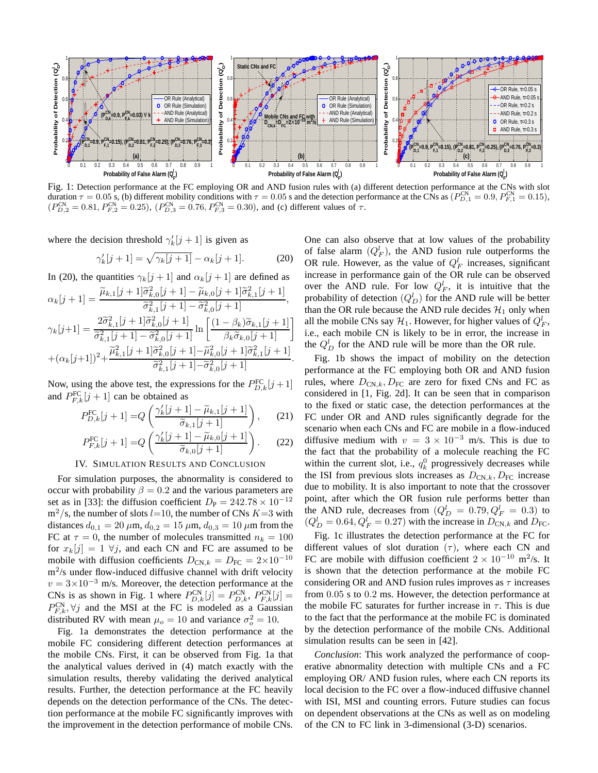

Fig. 1: Detection performance at the FC employing OR and AND fusion rules with (a) different detection performance at the CNs with slot duration  $\tau = 0.05$  s, (b) different mobility conditions with  $\tau = 0.05$  s and the detection performance at the CNs as ( $P_{D,1}^{\text{CN}} = 0.9$ ,  $P_{F,1}^{\text{CN}} = 0.15$ ),  $(P_{D,2}^{\text{CN}} = 0.81, P_{F,2}^{\text{CN}} = 0.25), (P_{D,3}^{\text{CN}} = 0.76, P_{F,3}^{\text{CN}} = 0.30),$  and (c) different values of  $\tau$ .

where the decision threshold  $\gamma'_k[j+1]$  is given as

$$
\gamma'_{k}[j+1] = \sqrt{\gamma_{k}[j+1]} - \alpha_{k}[j+1].
$$
 (20)

In (20), the quantities  $\gamma_k[j+1]$  and  $\alpha_k[j+1]$  are defined as

$$
\alpha_{k}[j+1] = \frac{\widetilde{\mu}_{k,1}[j+1]\widetilde{\sigma}_{k,0}^{2}[j+1] - \widetilde{\mu}_{k,0}[j+1]\widetilde{\sigma}_{k,1}^{2}[j+1]}{\widetilde{\sigma}_{k,1}^{2}[j+1] - \widetilde{\sigma}_{k,0}^{2}[j+1]},
$$
  

$$
\gamma_{k}[j+1] = \frac{2\widetilde{\sigma}_{k,1}^{2}[j+1]\widetilde{\sigma}_{k,0}^{2}[j+1]}{\widetilde{\sigma}_{k,1}^{2}[j+1] - \widetilde{\sigma}_{k,0}^{2}[j+1]} \ln \left[ \frac{(1-\beta_{k})\widetilde{\sigma}_{k,1}[j+1]}{\beta_{k}\widetilde{\sigma}_{k,0}[j+1]} \right]
$$

$$
+(\alpha_{k}[j+1])^{2} + \frac{\widetilde{\mu}_{k,1}^{2}[j+1]\widetilde{\sigma}_{k,0}^{2}[j+1] - \widetilde{\mu}_{k,0}^{2}[j+1]\widetilde{\sigma}_{k,1}^{2}[j+1]}{\widetilde{\sigma}_{k,1}^{2}[j+1] - \widetilde{\sigma}_{k,0}^{2}[j+1]}.
$$

Now, using the above test, the expressions for the  $P_{D,k}^{FC}[j+1]$ and  $P_{F,k}^{FC}[j + 1]$  can be obtained as

$$
P_{D,k}^{\text{FC}}[j+1] = Q\left(\frac{\gamma_k'[j+1] - \widetilde{\mu}_{k,1}[j+1]}{\widetilde{\sigma}_{k,1}[j+1]}\right),\qquad(21)
$$

$$
P_{F,k}^{\text{FC}}[j+1] = Q\left(\frac{\gamma_k'[j+1] - \widetilde{\mu}_{k,0}[j+1]}{\widetilde{\sigma}_{k,0}[j+1]}\right). \tag{22}
$$

### IV. SIMULATION RESULTS AND CONCLUSION

For simulation purposes, the abnormality is considered to occur with probability  $\beta = 0.2$  and the various parameters are set as in [33]: the diffusion coefficient  $D_P = 242.78 \times 10^{-12}$  $m^2$ /s, the number of slots  $l=10$ , the number of CNs  $K=3$  with distances  $d_{0,1} = 20 \ \mu \text{m}$ ,  $d_{0,2} = 15 \ \mu \text{m}$ ,  $d_{0,3} = 10 \ \mu \text{m}$  from the FC at  $\tau = 0$ , the number of molecules transmitted  $n_k = 100$ for  $x_k[j] = 1 \forall j$ , and each CN and FC are assumed to be mobile with diffusion coefficients  $D_{CN,k} = D_{FC} = 2 \times 10^{-10}$  $\rm m^2/s$  under flow-induced diffusive channel with drift velocity  $v = 3 \times 10^{-3}$  m/s. Moreover, the detection performance at the CNs is as shown in Fig. 1 where  $P_{D,k}^{\text{CN}}[j] = P_{D,k}^{\text{CN}}, P_{F,k}^{\text{CN}}[j] =$  $P_{F,k}^{CN}, \forall j$  and the MSI at the FC is modeled as a Gaussian distributed RV with mean  $\mu_o = 10$  and variance  $\sigma_o^2 = 10$ .

Fig. 1a demonstrates the detection performance at the mobile FC considering different detection performances at the mobile CNs. First, it can be observed from Fig. 1a that the analytical values derived in (4) match exactly with the simulation results, thereby validating the derived analytical results. Further, the detection performance at the FC heavily depends on the detection performance of the CNs. The detection performance at the mobile FC significantly improves with the improvement in the detection performance of mobile CNs.

One can also observe that at low values of the probability of false alarm  $(Q_F^l)$ , the AND fusion rule outperforms the OR rule. However, as the value of  $Q_F^l$  increases, significant increase in performance gain of the OR rule can be observed over the AND rule. For low  $Q_F^l$ , it is intuitive that the probability of detection  $(Q_D^l)$  for the AND rule will be better than the OR rule because the AND rule decides  $\mathcal{H}_1$  only when all the mobile CNs say  $\mathcal{H}_1$ . However, for higher values of  $Q_F^l$ , i.e., each mobile CN is likely to be in error, the increase in the  $Q_D^l$  for the AND rule will be more than the OR rule.

Fig. 1b shows the impact of mobility on the detection performance at the FC employing both OR and AND fusion rules, where  $D_{CN,k}, D_{FC}$  are zero for fixed CNs and FC as considered in [1, Fig. 2d]. It can be seen that in comparison to the fixed or static case, the detection performances at the FC under OR and AND rules significantly degrade for the scenario when each CNs and FC are mobile in a flow-induced diffusive medium with  $v = 3 \times 10^{-3}$  m/s. This is due to the fact that the probability of a molecule reaching the FC within the current slot, i.e.,  $q_k^0$  progressively decreases while the ISI from previous slots increases as  $D_{CN,k}, D_{FC}$  increase due to mobility. It is also important to note that the crossover point, after which the OR fusion rule performs better than the AND rule, decreases from  $(Q_D^l = 0.79, Q_F^l = 0.3)$  to  $(Q_D^l = 0.64, Q_F^l = 0.27)$  with the increase in  $D_{CN,k}$  and  $D_{FC}$ .

Fig. 1c illustrates the detection performance at the FC for different values of slot duration  $(\tau)$ , where each CN and FC are mobile with diffusion coefficient  $2 \times 10^{-10}$  m<sup>2</sup>/s. It is shown that the detection performance at the mobile FC considering OR and AND fusion rules improves as  $\tau$  increases from 0.05 s to 0.2 ms. However, the detection performance at the mobile FC saturates for further increase in  $\tau$ . This is due to the fact that the performance at the mobile FC is dominated by the detection performance of the mobile CNs. Additional simulation results can be seen in [42].

*Conclusion*: This work analyzed the performance of cooperative abnormality detection with multiple CNs and a FC employing OR/ AND fusion rules, where each CN reports its local decision to the FC over a flow-induced diffusive channel with ISI, MSI and counting errors. Future studies can focus on dependent observations at the CNs as well as on modeling of the CN to FC link in 3-dimensional (3-D) scenarios.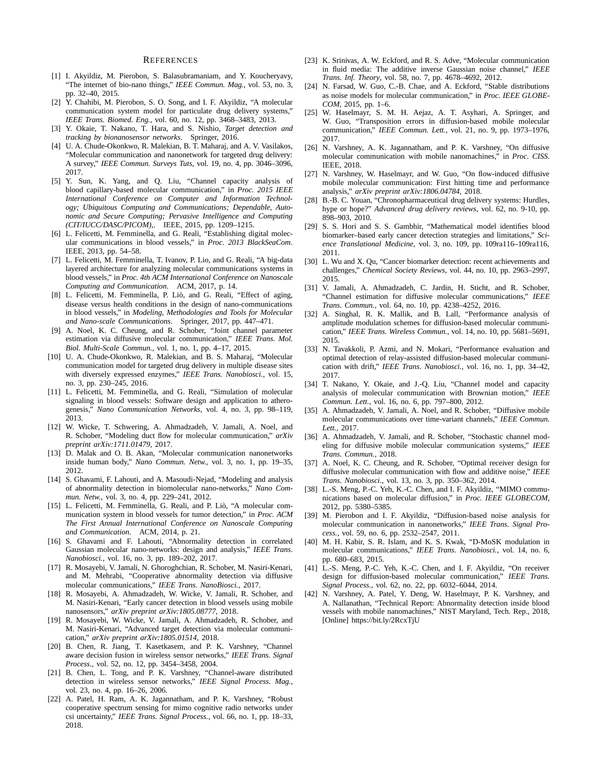#### **REFERENCES**

- [1] I. Akyildiz, M. Pierobon, S. Balasubramaniam, and Y. Koucheryavy, "The internet of bio-nano things," *IEEE Commun. Mag.*, vol. 53, no. 3, pp. 32–40, 2015.
- [2] Y. Chahibi, M. Pierobon, S. O. Song, and I. F. Akyildiz, "A molecular communication system model for particulate drug delivery systems," *IEEE Trans. Biomed. Eng.*, vol. 60, no. 12, pp. 3468–3483, 2013.
- [3] Y. Okaie, T. Nakano, T. Hara, and S. Nishio, *Target detection and tracking by bionanosensor networks*. Springer, 2016.
- [4] U. A. Chude-Okonkwo, R. Malekian, B. T. Maharaj, and A. V. Vasilakos, "Molecular communication and nanonetwork for targeted drug delivery: A survey," *IEEE Commun. Surveys Tuts*, vol. 19, no. 4, pp. 3046–3096, 2017.
- [5] Y. Sun, K. Yang, and Q. Liu, "Channel capacity analysis of blood capillary-based molecular communication," in *Proc. 2015 IEEE International Conference on Computer and Information Technology; Ubiquitous Computing and Communications; Dependable, Autonomic and Secure Computing; Pervasive Intelligence and Computing (CIT/IUCC/DASC/PICOM),*. IEEE, 2015, pp. 1209–1215.
- [6] L. Felicetti, M. Femminella, and G. Reali, "Establishing digital molecular communications in blood vessels," in *Proc. 2013 BlackSeaCom*. IEEE, 2013, pp. 54–58.
- [7] L. Felicetti, M. Femminella, T. Ivanov, P. Lio, and G. Reali, "A big-data layered architecture for analyzing molecular communications systems in blood vessels," in *Proc. 4th ACM International Conference on Nanoscale Computing and Communication*. ACM, 2017, p. 14.
- [8] L. Felicetti, M. Femminella, P. Liò, and G. Reali, "Effect of aging, disease versus health conditions in the design of nano-communications in blood vessels," in *Modeling, Methodologies and Tools for Molecular and Nano-scale Communications*. Springer, 2017, pp. 447–471.
- [9] A. Noel, K. C. Cheung, and R. Schober, "Joint channel parameter estimation via diffusive molecular communication," *IEEE Trans. Mol. Biol. Multi-Scale Commun.*, vol. 1, no. 1, pp. 4–17, 2015.
- [10] U. A. Chude-Okonkwo, R. Malekian, and B. S. Maharaj, "Molecular communication model for targeted drug delivery in multiple disease sites with diversely expressed enzymes," *IEEE Trans. Nanobiosci.*, vol. 15, no. 3, pp. 230–245, 2016.
- [11] L. Felicetti, M. Femminella, and G. Reali, "Simulation of molecular signaling in blood vessels: Software design and application to atherogenesis," *Nano Communication Networks*, vol. 4, no. 3, pp. 98–119, 2013.
- [12] W. Wicke, T. Schwering, A. Ahmadzadeh, V. Jamali, A. Noel, and R. Schober, "Modeling duct flow for molecular communication," *arXiv preprint arXiv:1711.01479*, 2017.
- [13] D. Malak and O. B. Akan, "Molecular communication nanonetworks inside human body," *Nano Commun. Netw.*, vol. 3, no. 1, pp. 19–35, 2012.
- [14] S. Ghavami, F. Lahouti, and A. Masoudi-Nejad, "Modeling and analysis of abnormality detection in biomolecular nano-networks," *Nano Commun. Netw.*, vol. 3, no. 4, pp. 229–241, 2012.
- [15] L. Felicetti, M. Femminella, G. Reali, and P. Liò, "A molecular communication system in blood vessels for tumor detection," in *Proc. ACM The First Annual International Conference on Nanoscale Computing and Communication*. ACM, 2014, p. 21.
- [16] S. Ghavami and F. Lahouti, "Abnormality detection in correlated Gaussian molecular nano-networks: design and analysis," *IEEE Trans. Nanobiosci.*, vol. 16, no. 3, pp. 189–202, 2017.
- [17] R. Mosayebi, V. Jamali, N. Ghoroghchian, R. Schober, M. Nasiri-Kenari, and M. Mehrabi, "Cooperative abnormality detection via diffusive molecular communications," *IEEE Trans. NanoBiosci.*, 2017.
- [18] R. Mosayebi, A. Ahmadzadeh, W. Wicke, V. Jamali, R. Schober, and M. Nasiri-Kenari, "Early cancer detection in blood vessels using mobile nanosensors," *arXiv preprint arXiv:1805.08777*, 2018.
- [19] R. Mosayebi, W. Wicke, V. Jamali, A. Ahmadzadeh, R. Schober, and M. Nasiri-Kenari, "Advanced target detection via molecular communication," *arXiv preprint arXiv:1805.01514*, 2018.
- [20] B. Chen, R. Jiang, T. Kasetkasem, and P. K. Varshney, "Channel aware decision fusion in wireless sensor networks," *IEEE Trans. Signal Process.*, vol. 52, no. 12, pp. 3454–3458, 2004.
- [21] B. Chen, L. Tong, and P. K. Varshney, "Channel-aware distributed detection in wireless sensor networks," *IEEE Signal Process. Mag.*, vol. 23, no. 4, pp. 16–26, 2006.
- [22] A. Patel, H. Ram, A. K. Jagannatham, and P. K. Varshney, "Robust cooperative spectrum sensing for mimo cognitive radio networks under csi uncertainty," *IEEE Trans. Signal Process.*, vol. 66, no. 1, pp. 18–33, 2018.
- [23] K. Srinivas, A. W. Eckford, and R. S. Adve, "Molecular communication in fluid media: The additive inverse Gaussian noise channel," *IEEE Trans. Inf. Theory*, vol. 58, no. 7, pp. 4678–4692, 2012.
- [24] N. Farsad, W. Guo, C.-B. Chae, and A. Eckford, "Stable distributions as noise models for molecular communication," in *Proc. IEEE GLOBE-COM*, 2015, pp. 1–6.
- [25] W. Haselmayr, S. M. H. Aejaz, A. T. Asyhari, A. Springer, and W. Guo, "Transposition errors in diffusion-based mobile molecular communication," *IEEE Commun. Lett.*, vol. 21, no. 9, pp. 1973–1976, 2017.
- [26] N. Varshney, A. K. Jagannatham, and P. K. Varshney, "On diffusive molecular communication with mobile nanomachines," in *Proc. CISS*. IEEE, 2018.
- [27] N. Varshney, W. Haselmayr, and W. Guo, "On flow-induced diffusive mobile molecular communication: First hitting time and performance analysis," *arXiv preprint arXiv:1806.04784*, 2018.
- [28] B.-B. C. Youan, "Chronopharmaceutical drug delivery systems: Hurdles, hype or hope?" *Advanced drug delivery reviews*, vol. 62, no. 9-10, pp. 898–903, 2010.
- [29] S. S. Hori and S. S. Gambhir, "Mathematical model identifies blood biomarker–based early cancer detection strategies and limitations," *Science Translational Medicine*, vol. 3, no. 109, pp. 109ra116–109ra116, 2011.
- [30] L. Wu and X. Qu, "Cancer biomarker detection: recent achievements and challenges," *Chemical Society Reviews*, vol. 44, no. 10, pp. 2963–2997, 2015.
- [31] V. Jamali, A. Ahmadzadeh, C. Jardin, H. Sticht, and R. Schober, "Channel estimation for diffusive molecular communications," *IEEE Trans. Commun.*, vol. 64, no. 10, pp. 4238–4252, 2016.
- [32] A. Singhal, R. K. Mallik, and B. Lall, "Performance analysis of amplitude modulation schemes for diffusion-based molecular communication," *IEEE Trans. Wireless Commun.*, vol. 14, no. 10, pp. 5681–5691, 2015.
- [33] N. Tavakkoli, P. Azmi, and N. Mokari, "Performance evaluation and optimal detection of relay-assisted diffusion-based molecular communication with drift," *IEEE Trans. Nanobiosci.*, vol. 16, no. 1, pp. 34–42, 2017.
- [34] T. Nakano, Y. Okaie, and J.-O. Liu, "Channel model and capacity analysis of molecular communication with Brownian motion," *IEEE Commun. Lett.*, vol. 16, no. 6, pp. 797–800, 2012.
- [35] A. Ahmadzadeh, V. Jamali, A. Noel, and R. Schober, "Diffusive mobile molecular communications over time-variant channels," *IEEE Commun. Lett.*, 2017.
- [36] A. Ahmadzadeh, V. Jamali, and R. Schober, "Stochastic channel modeling for diffusive mobile molecular communication systems," *IEEE Trans. Commun.*, 2018.
- [37] A. Noel, K. C. Cheung, and R. Schober, "Optimal receiver design for diffusive molecular communication with flow and additive noise," *IEEE Trans. Nanobiosci.*, vol. 13, no. 3, pp. 350–362, 2014.
- [38] L.-S. Meng, P.-C. Yeh, K.-C. Chen, and I. F. Akyildiz, "MIMO communications based on molecular diffusion," in *Proc. IEEE GLOBECOM*, 2012, pp. 5380–5385.
- [39] M. Pierobon and I. F. Akyildiz, "Diffusion-based noise analysis for molecular communication in nanonetworks," *IEEE Trans. Signal Process.*, vol. 59, no. 6, pp. 2532–2547, 2011.
- [40] M. H. Kabir, S. R. Islam, and K. S. Kwak, "D-MoSK modulation in molecular communications," *IEEE Trans. Nanobiosci.*, vol. 14, no. 6, pp. 680–683, 2015.
- [41] L.-S. Meng, P.-C. Yeh, K.-C. Chen, and I. F. Akyildiz, "On receiver design for diffusion-based molecular communication," *IEEE Trans. Signal Process.*, vol. 62, no. 22, pp. 6032–6044, 2014.
- [42] N. Varshney, A. Patel, Y. Deng, W. Haselmayr, P. K. Varshney, and A. Nallanathan, "Technical Report: Abnormality detection inside blood vessels with mobile nanomachines," NIST Maryland, Tech. Rep., 2018, [Online] https://bit.ly/2RcxTjU